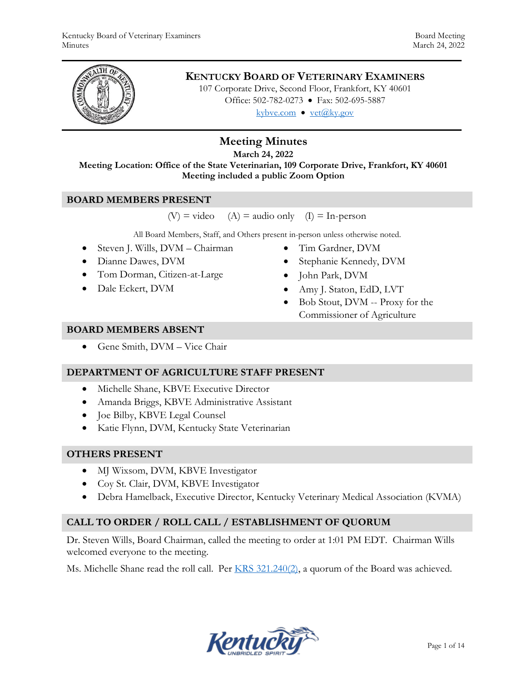

## **KENTUCKY BOARD OF VETERINARY EXAMINERS**

107 Corporate Drive, Second Floor, Frankfort, KY 40601 Office: 502-782-0273 • Fax: 502-695-5887 kybve.com  $\bullet$  yet@ky.gov

# **Meeting Minutes**

**March 24, 2022**

**Meeting Location: Office of the State Veterinarian, 109 Corporate Drive, Frankfort, KY 40601 Meeting included a public Zoom Option**

#### **BOARD MEMBERS PRESENT**

 $(V)$  = video  $(A)$  = audio only  $(I)$  = In-person

All Board Members, Staff, and Others present in-person unless otherwise noted.

- Steven J. Wills, DVM Chairman
- Dianne Dawes, DVM
- Tom Dorman, Citizen-at-Large
- Dale Eckert, DVM
- Tim Gardner, DVM
- Stephanie Kennedy, DVM
- John Park, DVM
- Amy J. Staton, EdD, LVT
- Bob Stout, DVM -- Proxy for the Commissioner of Agriculture

#### **BOARD MEMBERS ABSENT**

Gene Smith, DVM – Vice Chair

#### **DEPARTMENT OF AGRICULTURE STAFF PRESENT**

- Michelle Shane, KBVE Executive Director
- Amanda Briggs, KBVE Administrative Assistant
- Joe Bilby, KBVE Legal Counsel
- Katie Flynn, DVM, Kentucky State Veterinarian

#### **OTHERS PRESENT**

- MJ Wixsom, DVM, KBVE Investigator
- Coy St. Clair, DVM, KBVE Investigator
- Debra Hamelback, Executive Director, Kentucky Veterinary Medical Association (KVMA)

## **CALL TO ORDER / ROLL CALL / ESTABLISHMENT OF QUORUM**

Dr. Steven Wills, Board Chairman, called the meeting to order at 1:01 PM EDT. Chairman Wills welcomed everyone to the meeting.

Ms. Michelle Shane read the roll call. Per [KRS 321.240\(2\),](https://apps.legislature.ky.gov/law/statutes/statute.aspx?id=45333) a quorum of the Board was achieved.

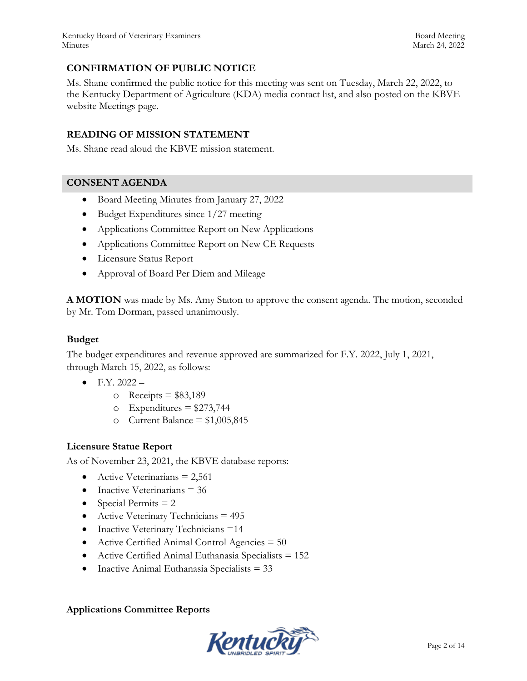## **CONFIRMATION OF PUBLIC NOTICE**

Ms. Shane confirmed the public notice for this meeting was sent on Tuesday, March 22, 2022, to the Kentucky Department of Agriculture (KDA) media contact list, and also posted on the KBVE website Meetings page.

#### **READING OF MISSION STATEMENT**

Ms. Shane read aloud the KBVE mission statement.

#### **CONSENT AGENDA**

- Board Meeting Minutes from January 27, 2022
- $\bullet$  Budget Expenditures since 1/27 meeting
- Applications Committee Report on New Applications
- Applications Committee Report on New CE Requests
- Licensure Status Report
- Approval of Board Per Diem and Mileage

**A MOTION** was made by Ms. Amy Staton to approve the consent agenda. The motion, seconded by Mr. Tom Dorman, passed unanimously.

## **Budget**

The budget expenditures and revenue approved are summarized for F.Y. 2022, July 1, 2021, through March 15, 2022, as follows:

- $\bullet$  F.Y. 2022
	- $\circ$  Receipts = \$83,189
	- $\circ$  Expenditures = \$273,744
	- o Current Balance =  $$1,005,845$

#### **Licensure Statue Report**

As of November 23, 2021, the KBVE database reports:

- Active Veterinarians  $= 2,561$
- $\bullet$  Inactive Veterinarians = 36
- Special Permits  $= 2$
- Active Veterinary Technicians = 495
- Inactive Veterinary Technicians =14
- Active Certified Animal Control Agencies  $= 50$
- Active Certified Animal Euthanasia Specialists = 152
- Inactive Animal Euthanasia Specialists  $= 33$

#### **Applications Committee Reports**

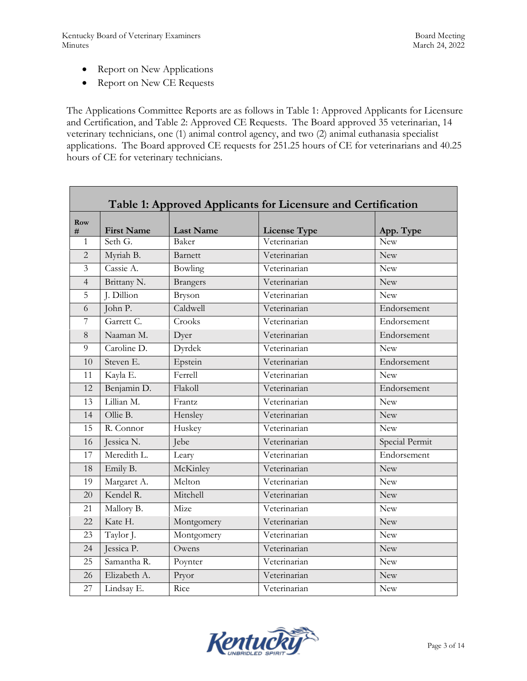- Report on New Applications
- Report on New CE Requests

The Applications Committee Reports are as follows in Table 1: Approved Applicants for Licensure and Certification, and Table 2: Approved CE Requests. The Board approved 35 veterinarian, 14 veterinary technicians, one (1) animal control agency, and two (2) animal euthanasia specialist applications. The Board approved CE requests for 251.25 hours of CE for veterinarians and 40.25 hours of CE for veterinary technicians.

| Table 1: Approved Applicants for Licensure and Certification |                   |                  |                     |                |  |
|--------------------------------------------------------------|-------------------|------------------|---------------------|----------------|--|
| Row<br>#                                                     | <b>First Name</b> | <b>Last Name</b> | <b>License Type</b> | App. Type      |  |
| 1                                                            | Seth G.           | Baker            | Veterinarian        | <b>New</b>     |  |
| $\overline{2}$                                               | Myriah B.         | Barnett          | Veterinarian        | <b>New</b>     |  |
| $\overline{\mathbf{3}}$                                      | Cassie A.         | Bowling          | Veterinarian        | <b>New</b>     |  |
| $\overline{4}$                                               | Brittany N.       | <b>Brangers</b>  | Veterinarian        | <b>New</b>     |  |
| 5                                                            | J. Dillion        | Bryson           | Veterinarian        | <b>New</b>     |  |
| 6                                                            | John P.           | Caldwell         | Veterinarian        | Endorsement    |  |
| $\overline{7}$                                               | Garrett C.        | Crooks           | Veterinarian        | Endorsement    |  |
| 8                                                            | Naaman M.         | Dyer             | Veterinarian        | Endorsement    |  |
| 9                                                            | Caroline D.       | Dyrdek           | Veterinarian        | <b>New</b>     |  |
| 10                                                           | Steven E.         | Epstein          | Veterinarian        | Endorsement    |  |
| 11                                                           | Kayla E.          | Ferrell          | Veterinarian        | <b>New</b>     |  |
| 12                                                           | Benjamin D.       | Flakoll          | Veterinarian        | Endorsement    |  |
| 13                                                           | Lillian M.        | Frantz           | Veterinarian        | <b>New</b>     |  |
| 14                                                           | Ollie B.          | Hensley          | Veterinarian        | New            |  |
| 15                                                           | R. Connor         | Huskey           | Veterinarian        | New            |  |
| 16                                                           | Jessica N.        | Jebe             | Veterinarian        | Special Permit |  |
| 17                                                           | Meredith L.       | Leary            | Veterinarian        | Endorsement    |  |
| 18                                                           | Emily B.          | McKinley         | Veterinarian        | <b>New</b>     |  |
| 19                                                           | Margaret A.       | Melton           | Veterinarian        | <b>New</b>     |  |
| 20                                                           | Kendel R.         | Mitchell         | Veterinarian        | <b>New</b>     |  |
| 21                                                           | Mallory B.        | Mize             | Veterinarian        | New            |  |
| 22                                                           | Kate H.           | Montgomery       | Veterinarian        | <b>New</b>     |  |
| 23                                                           | Taylor J.         | Montgomery       | Veterinarian        | <b>New</b>     |  |
| 24                                                           | Jessica P.        | Owens            | Veterinarian        | <b>New</b>     |  |
| 25                                                           | Samantha R.       | Poynter          | Veterinarian        | <b>New</b>     |  |
| 26                                                           | Elizabeth A.      | Pryor            | Veterinarian        | <b>New</b>     |  |
| 27                                                           | Lindsay E.        | Rice             | Veterinarian        | New            |  |

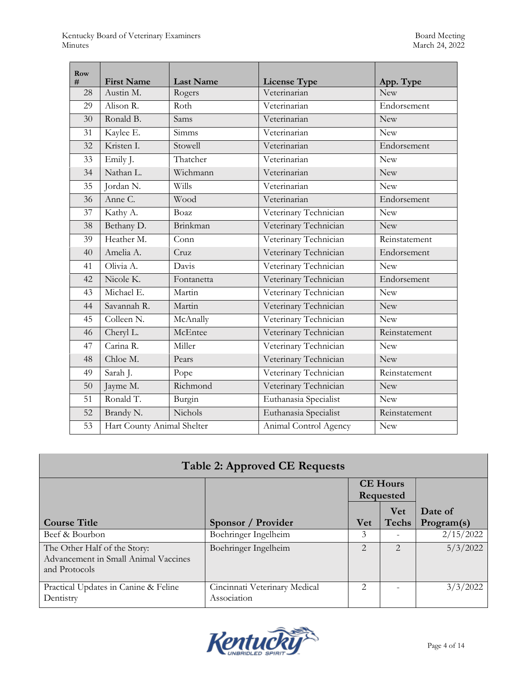r.

| Row<br># | <b>First Name</b>          | <b>Last Name</b> | <b>License Type</b>   | App. Type     |
|----------|----------------------------|------------------|-----------------------|---------------|
| 28       | Austin M.                  | Rogers           | Veterinarian          | <b>New</b>    |
| 29       | Alison R.                  | Roth             | Veterinarian          | Endorsement   |
| 30       | Ronald B.                  | Sams             | Veterinarian          | <b>New</b>    |
| 31       | Kaylee E.                  | Simms            | Veterinarian          | <b>New</b>    |
| 32       | Kristen I.                 | Stowell          | Veterinarian          | Endorsement   |
| 33       | Emily J.                   | Thatcher         | Veterinarian          | <b>New</b>    |
| 34       | Nathan L.                  | Wichmann         | Veterinarian          | <b>New</b>    |
| 35       | Jordan N.                  | Wills            | Veterinarian          | <b>New</b>    |
| 36       | Anne C.                    | Wood             | Veterinarian          | Endorsement   |
| 37       | Kathy A.                   | Boaz             | Veterinary Technician | <b>New</b>    |
| 38       | Bethany D.                 | Brinkman         | Veterinary Technician | <b>New</b>    |
| 39       | Heather M.                 | Conn             | Veterinary Technician | Reinstatement |
| 40       | Amelia A.                  | Cruz             | Veterinary Technician | Endorsement   |
| 41       | Olivia A.                  | Davis            | Veterinary Technician | <b>New</b>    |
| 42       | Nicole K.                  | Fontanetta       | Veterinary Technician | Endorsement   |
| 43       | Michael E.                 | Martin           | Veterinary Technician | <b>New</b>    |
| 44       | Savannah R.                | Martin           | Veterinary Technician | <b>New</b>    |
| 45       | Colleen N.                 | McAnally         | Veterinary Technician | <b>New</b>    |
| 46       | Cheryl L.                  | McEntee          | Veterinary Technician | Reinstatement |
| 47       | Carina R.                  | Miller           | Veterinary Technician | <b>New</b>    |
| 48       | Chloe M.                   | Pears            | Veterinary Technician | <b>New</b>    |
| 49       | Sarah J.                   | Pope             | Veterinary Technician | Reinstatement |
| 50       | Jayme M.                   | Richmond         | Veterinary Technician | <b>New</b>    |
| 51       | Ronald T.                  | Burgin           | Euthanasia Specialist | <b>New</b>    |
| 52       | Brandy N.                  | Nichols          | Euthanasia Specialist | Reinstatement |
| 53       | Hart County Animal Shelter |                  | Animal Control Agency | <b>New</b>    |

| <b>Table 2: Approved CE Requests</b>                                                  |                                              |                       |                                     |                       |
|---------------------------------------------------------------------------------------|----------------------------------------------|-----------------------|-------------------------------------|-----------------------|
|                                                                                       |                                              |                       | <b>CE Hours</b><br><b>Requested</b> |                       |
| <b>Course Title</b>                                                                   | Sponsor / Provider                           | <b>Vet</b>            | <b>Vet</b><br><b>Techs</b>          | Date of<br>Program(s) |
| Beef & Bourbon                                                                        | Boehringer Ingelheim                         | 3                     |                                     | 2/15/2022             |
| The Other Half of the Story:<br>Advancement in Small Animal Vaccines<br>and Protocols | Boehringer Ingelheim                         | $\overline{2}$        | $\mathcal{D}_{\mathcal{L}}$         | 5/3/2022              |
| Practical Updates in Canine & Feline<br>Dentistry                                     | Cincinnati Veterinary Medical<br>Association | $\mathcal{D}_{\cdot}$ |                                     | 3/3/2022              |

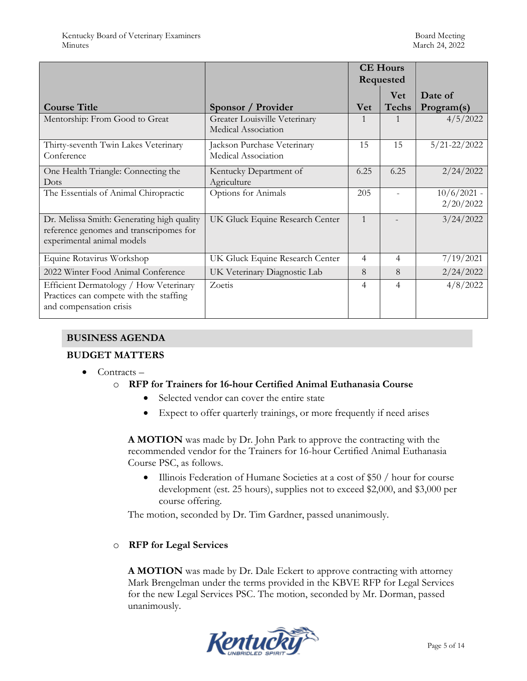|                                                                                                                     |                                                      |                | <b>CE Hours</b><br>Requested |                            |
|---------------------------------------------------------------------------------------------------------------------|------------------------------------------------------|----------------|------------------------------|----------------------------|
| <b>Course Title</b>                                                                                                 | Sponsor / Provider                                   | <b>Vet</b>     | <b>Vet</b><br><b>Techs</b>   | Date of<br>Program(s)      |
| Mentorship: From Good to Great                                                                                      | Greater Louisville Veterinary<br>Medical Association |                |                              | 4/5/2022                   |
| Thirty-seventh Twin Lakes Veterinary<br>Conference                                                                  | Jackson Purchase Veterinary<br>Medical Association   | 15             | 15                           | $5/21 - 22/2022$           |
| One Health Triangle: Connecting the<br>Dots                                                                         | Kentucky Department of<br>Agriculture                | 6.25           | 6.25                         | 2/24/2022                  |
| The Essentials of Animal Chiropractic                                                                               | Options for Animals                                  | 205            |                              | $10/6/2021$ -<br>2/20/2022 |
| Dr. Melissa Smith: Generating high quality<br>reference genomes and transcripomes for<br>experimental animal models | UK Gluck Equine Research Center                      | $\mathbf{1}$   |                              | 3/24/2022                  |
| Equine Rotavirus Workshop                                                                                           | UK Gluck Equine Research Center                      | 4              | 4                            | 7/19/2021                  |
| 2022 Winter Food Animal Conference                                                                                  | UK Veterinary Diagnostic Lab                         | 8              | 8                            | 2/24/2022                  |
| Efficient Dermatology / How Veterinary<br>Practices can compete with the staffing<br>and compensation crisis        | Zoetis                                               | $\overline{4}$ | 4                            | 4/8/2022                   |

## **BUSINESS AGENDA**

#### **BUDGET MATTERS**

 $\bullet$  Contracts –

#### o **RFP for Trainers for 16-hour Certified Animal Euthanasia Course**

- Selected vendor can cover the entire state
- Expect to offer quarterly trainings, or more frequently if need arises

**A MOTION** was made by Dr. John Park to approve the contracting with the recommended vendor for the Trainers for 16-hour Certified Animal Euthanasia Course PSC, as follows.

 Illinois Federation of Humane Societies at a cost of \$50 / hour for course development (est. 25 hours), supplies not to exceed \$2,000, and \$3,000 per course offering.

The motion, seconded by Dr. Tim Gardner, passed unanimously.

#### o **RFP for Legal Services**

**A MOTION** was made by Dr. Dale Eckert to approve contracting with attorney Mark Brengelman under the terms provided in the KBVE RFP for Legal Services for the new Legal Services PSC. The motion, seconded by Mr. Dorman, passed unanimously.

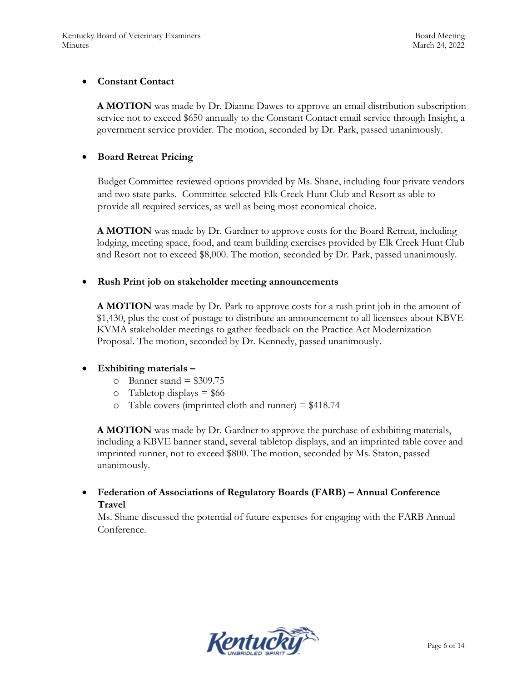#### **Constant Contact**

**A MOTION** was made by Dr. Dianne Dawes to approve an email distribution subscription service not to exceed \$650 annually to the Constant Contact email service through Insight, a government service provider. The motion, seconded by Dr. Park, passed unanimously.

## **Board Retreat Pricing**

Budget Committee reviewed options provided by Ms. Shane, including four private vendors and two state parks. Committee selected Elk Creek Hunt Club and Resort as able to provide all required services, as well as being most economical choice.

**A MOTION** was made by Dr. Gardner to approve costs for the Board Retreat, including lodging, meeting space, food, and team building exercises provided by Elk Creek Hunt Club and Resort not to exceed \$8,000. The motion, seconded by Dr. Park, passed unanimously.

#### **Rush Print job on stakeholder meeting announcements**

**A MOTION** was made by Dr. Park to approve costs for a rush print job in the amount of \$1,430, plus the cost of postage to distribute an announcement to all licensees about KBVE-KVMA stakeholder meetings to gather feedback on the Practice Act Modernization Proposal. The motion, seconded by Dr. Kennedy, passed unanimously.

#### **Exhibiting materials –**

- $\degree$  Banner stand = \$309.75
- $\circ$  Tabletop displays = \$66
- $\circ$  Table covers (imprinted cloth and runner) = \$418.74

**A MOTION** was made by Dr. Gardner to approve the purchase of exhibiting materials, including a KBVE banner stand, several tabletop displays, and an imprinted table cover and imprinted runner, not to exceed \$800. The motion, seconded by Ms. Staton, passed unanimously.

## **Federation of Associations of Regulatory Boards (FARB) – Annual Conference Travel**

Ms. Shane discussed the potential of future expenses for engaging with the FARB Annual Conference.

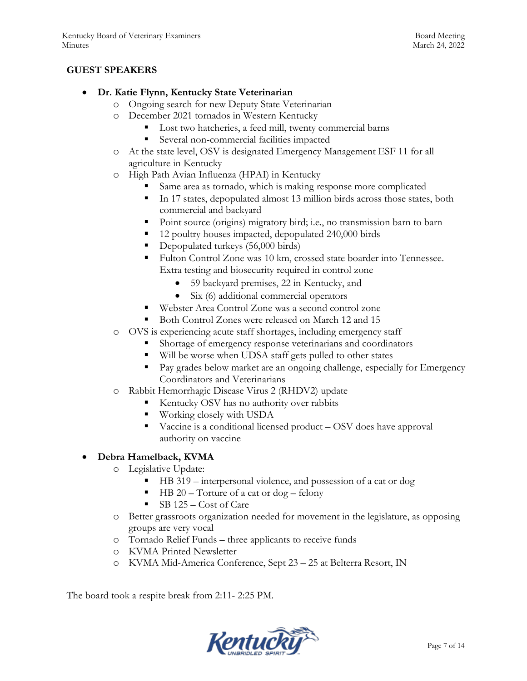## **GUEST SPEAKERS**

#### **Dr. Katie Flynn, Kentucky State Veterinarian**

- o Ongoing search for new Deputy State Veterinarian
- o December 2021 tornados in Western Kentucky
	- Lost two hatcheries, a feed mill, twenty commercial barns
	- Several non-commercial facilities impacted
- o At the state level, OSV is designated Emergency Management ESF 11 for all agriculture in Kentucky
- o High Path Avian Influenza (HPAI) in Kentucky
	- Same area as tornado, which is making response more complicated
	- In 17 states, depopulated almost 13 million birds across those states, both commercial and backyard
	- Point source (origins) migratory bird; i.e., no transmission barn to barn
	- 12 poultry houses impacted, depopulated 240,000 birds
	- Depopulated turkeys (56,000 birds)
	- Fulton Control Zone was 10 km, crossed state boarder into Tennessee. Extra testing and biosecurity required in control zone
		- 59 backyard premises, 22 in Kentucky, and
		- Six (6) additional commercial operators
	- Webster Area Control Zone was a second control zone
	- Both Control Zones were released on March 12 and 15
- o OVS is experiencing acute staff shortages, including emergency staff
	- **Shortage of emergency response veterinarians and coordinators**
	- Will be worse when UDSA staff gets pulled to other states
	- **Pay grades below market are an ongoing challenge, especially for Emergency** Coordinators and Veterinarians
- o Rabbit Hemorrhagic Disease Virus 2 (RHDV2) update
	- Kentucky OSV has no authority over rabbits
	- **Working closely with USDA**
	- Vaccine is a conditional licensed product OSV does have approval authority on vaccine

## **Debra Hamelback, KVMA**

- o Legislative Update:
	- HB 319 interpersonal violence, and possession of a cat or dog
	- $\blacksquare$  HB 20 Torture of a cat or dog felony
	- $\blacksquare$  SB 125 Cost of Care
- o Better grassroots organization needed for movement in the legislature, as opposing groups are very vocal
- o Tornado Relief Funds three applicants to receive funds
- o KVMA Printed Newsletter
- o KVMA Mid-America Conference, Sept 23 25 at Belterra Resort, IN

The board took a respite break from 2:11- 2:25 PM.

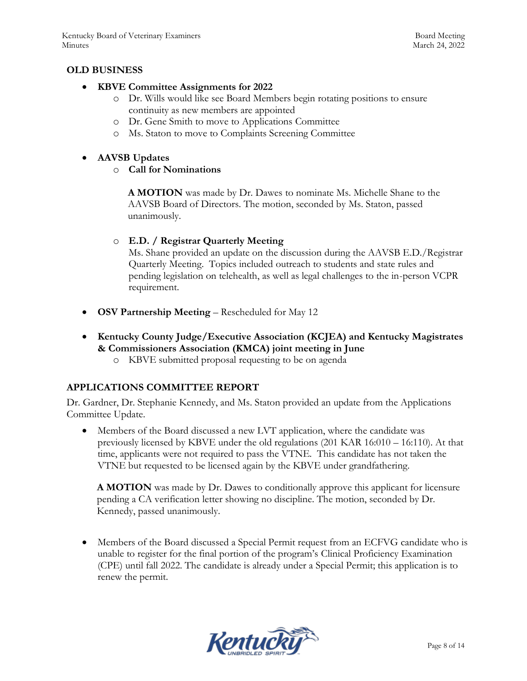#### **OLD BUSINESS**

#### **KBVE Committee Assignments for 2022**

- o Dr. Wills would like see Board Members begin rotating positions to ensure continuity as new members are appointed
- o Dr. Gene Smith to move to Applications Committee
- o Ms. Staton to move to Complaints Screening Committee

#### **AAVSB Updates**

#### o **Call for Nominations**

**A MOTION** was made by Dr. Dawes to nominate Ms. Michelle Shane to the AAVSB Board of Directors. The motion, seconded by Ms. Staton, passed unanimously.

#### o **E.D. / Registrar Quarterly Meeting**

Ms. Shane provided an update on the discussion during the AAVSB E.D./Registrar Quarterly Meeting. Topics included outreach to students and state rules and pending legislation on telehealth, as well as legal challenges to the in-person VCPR requirement.

- **OSV Partnership Meeting** Rescheduled for May 12
- **Kentucky County Judge/Executive Association (KCJEA) and Kentucky Magistrates & Commissioners Association (KMCA) joint meeting in June**
	- o KBVE submitted proposal requesting to be on agenda

#### **APPLICATIONS COMMITTEE REPORT**

Dr. Gardner, Dr. Stephanie Kennedy, and Ms. Staton provided an update from the Applications Committee Update.

 Members of the Board discussed a new LVT application, where the candidate was previously licensed by KBVE under the old regulations (201 KAR 16:010 – 16:110). At that time, applicants were not required to pass the VTNE. This candidate has not taken the VTNE but requested to be licensed again by the KBVE under grandfathering.

**A MOTION** was made by Dr. Dawes to conditionally approve this applicant for licensure pending a CA verification letter showing no discipline. The motion, seconded by Dr. Kennedy, passed unanimously.

 Members of the Board discussed a Special Permit request from an ECFVG candidate who is unable to register for the final portion of the program's Clinical Proficiency Examination (CPE) until fall 2022. The candidate is already under a Special Permit; this application is to renew the permit.

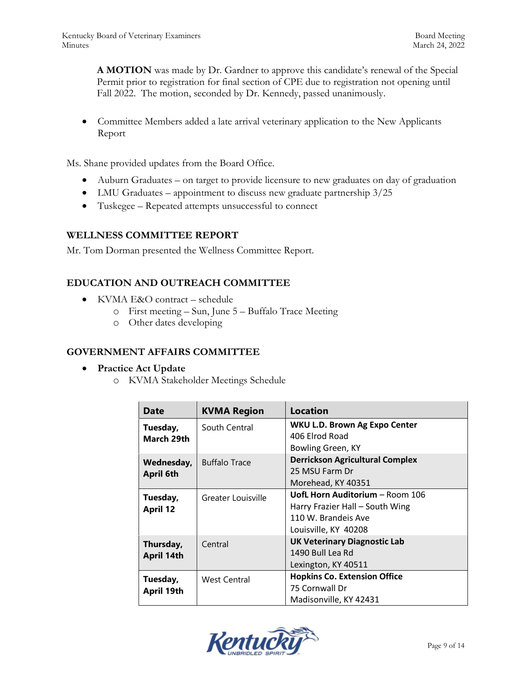**A MOTION** was made by Dr. Gardner to approve this candidate's renewal of the Special Permit prior to registration for final section of CPE due to registration not opening until Fall 2022. The motion, seconded by Dr. Kennedy, passed unanimously.

 Committee Members added a late arrival veterinary application to the New Applicants Report

Ms. Shane provided updates from the Board Office.

- Auburn Graduates on target to provide licensure to new graduates on day of graduation
- LMU Graduates appointment to discuss new graduate partnership  $3/25$
- Tuskegee Repeated attempts unsuccessful to connect

#### **WELLNESS COMMITTEE REPORT**

Mr. Tom Dorman presented the Wellness Committee Report.

#### **EDUCATION AND OUTREACH COMMITTEE**

- KVMA E&O contract schedule
	- o First meeting Sun, June 5 Buffalo Trace Meeting
	- o Other dates developing

#### **GOVERNMENT AFFAIRS COMMITTEE**

- **Practice Act Update** 
	- o KVMA Stakeholder Meetings Schedule

| Date                           | <b>KVMA Region</b>   | Location                                                                                                          |  |
|--------------------------------|----------------------|-------------------------------------------------------------------------------------------------------------------|--|
| Tuesday,<br>March 29th         | South Central        | WKU L.D. Brown Ag Expo Center<br>406 Elrod Road<br>Bowling Green, KY                                              |  |
| Wednesday,<br><b>April 6th</b> | <b>Buffalo Trace</b> | <b>Derrickson Agricultural Complex</b><br>25 MSU Farm Dr<br>Morehead, KY 40351                                    |  |
| Tuesday,<br><b>April 12</b>    | Greater Louisville   | UofL Horn Auditorium - Room 106<br>Harry Frazier Hall - South Wing<br>110 W. Brandeis Ave<br>Louisville, KY 40208 |  |
| Thursday,<br>April 14th        | Central              | <b>UK Veterinary Diagnostic Lab</b><br>1490 Bull Lea Rd<br>Lexington, KY 40511                                    |  |
| Tuesday,<br>April 19th         | West Central         | <b>Hopkins Co. Extension Office</b><br>75 Cornwall Dr<br>Madisonville, KY 42431                                   |  |

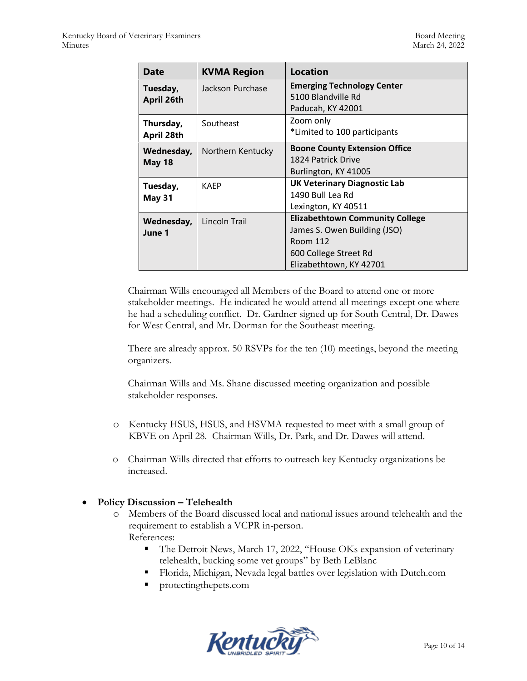| Date                          | <b>KVMA Region</b> | Location                                                                                                                               |
|-------------------------------|--------------------|----------------------------------------------------------------------------------------------------------------------------------------|
| Tuesday,<br><b>April 26th</b> | Jackson Purchase   | <b>Emerging Technology Center</b><br>5100 Blandville Rd<br>Paducah, KY 42001                                                           |
| Thursday,<br>April 28th       | Southeast          | Zoom only<br>*Limited to 100 participants                                                                                              |
| Wednesday,<br><b>May 18</b>   | Northern Kentucky  | <b>Boone County Extension Office</b><br>1824 Patrick Drive<br>Burlington, KY 41005                                                     |
| Tuesday,<br>May 31            | <b>KAFP</b>        | <b>UK Veterinary Diagnostic Lab</b><br>1490 Bull Lea Rd<br>Lexington, KY 40511                                                         |
| Wednesday,<br>June 1          | Lincoln Trail      | <b>Elizabethtown Community College</b><br>James S. Owen Building (JSO)<br>Room 112<br>600 College Street Rd<br>Elizabethtown, KY 42701 |

Chairman Wills encouraged all Members of the Board to attend one or more stakeholder meetings. He indicated he would attend all meetings except one where he had a scheduling conflict. Dr. Gardner signed up for South Central, Dr. Dawes for West Central, and Mr. Dorman for the Southeast meeting.

There are already approx. 50 RSVPs for the ten (10) meetings, beyond the meeting organizers.

Chairman Wills and Ms. Shane discussed meeting organization and possible stakeholder responses.

- o Kentucky HSUS, HSUS, and HSVMA requested to meet with a small group of KBVE on April 28. Chairman Wills, Dr. Park, and Dr. Dawes will attend.
- o Chairman Wills directed that efforts to outreach key Kentucky organizations be increased.

#### **Policy Discussion – Telehealth**

- o Members of the Board discussed local and national issues around telehealth and the requirement to establish a VCPR in-person. References:
	- The Detroit News, March 17, 2022, "House OKs expansion of veterinary telehealth, bucking some vet groups" by Beth LeBlanc
	- Florida, Michigan, Nevada legal battles over legislation with Dutch.com
	- protectingthepets.com

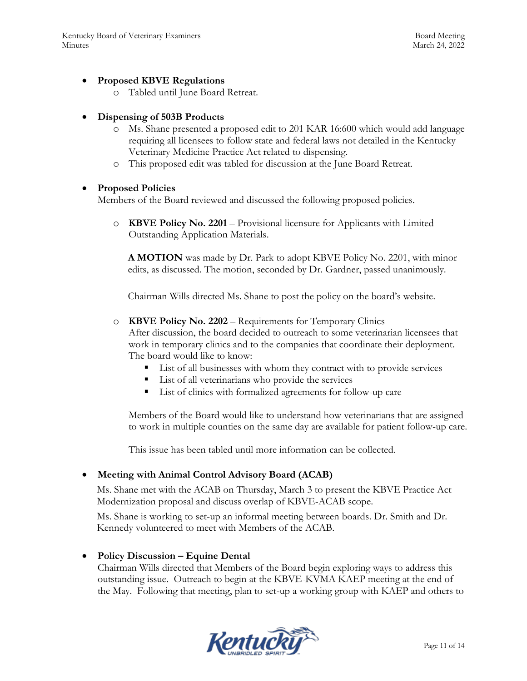#### **Proposed KBVE Regulations**

o Tabled until June Board Retreat.

#### **Dispensing of 503B Products**

- o Ms. Shane presented a proposed edit to 201 KAR 16:600 which would add language requiring all licensees to follow state and federal laws not detailed in the Kentucky Veterinary Medicine Practice Act related to dispensing.
- o This proposed edit was tabled for discussion at the June Board Retreat.

#### **Proposed Policies**

Members of the Board reviewed and discussed the following proposed policies.

o **KBVE Policy No. 2201** – Provisional licensure for Applicants with Limited Outstanding Application Materials.

**A MOTION** was made by Dr. Park to adopt KBVE Policy No. 2201, with minor edits, as discussed. The motion, seconded by Dr. Gardner, passed unanimously.

Chairman Wills directed Ms. Shane to post the policy on the board's website.

o **KBVE Policy No. 2202** – Requirements for Temporary Clinics

After discussion, the board decided to outreach to some veterinarian licensees that work in temporary clinics and to the companies that coordinate their deployment. The board would like to know:

- List of all businesses with whom they contract with to provide services
- List of all veterinarians who provide the services
- List of clinics with formalized agreements for follow-up care

Members of the Board would like to understand how veterinarians that are assigned to work in multiple counties on the same day are available for patient follow-up care.

This issue has been tabled until more information can be collected.

#### **Meeting with Animal Control Advisory Board (ACAB)**

Ms. Shane met with the ACAB on Thursday, March 3 to present the KBVE Practice Act Modernization proposal and discuss overlap of KBVE-ACAB scope.

Ms. Shane is working to set-up an informal meeting between boards. Dr. Smith and Dr. Kennedy volunteered to meet with Members of the ACAB.

#### **Policy Discussion – Equine Dental**

Chairman Wills directed that Members of the Board begin exploring ways to address this outstanding issue. Outreach to begin at the KBVE-KVMA KAEP meeting at the end of the May. Following that meeting, plan to set-up a working group with KAEP and others to

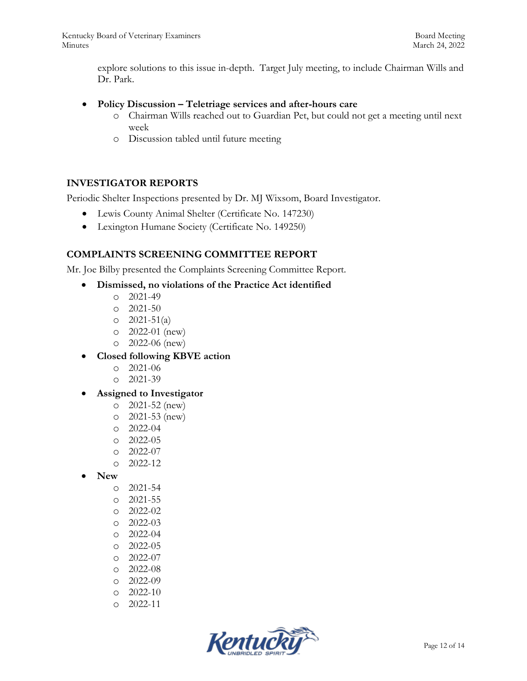explore solutions to this issue in-depth. Target July meeting, to include Chairman Wills and Dr. Park.

#### **Policy Discussion – Teletriage services and after-hours care**

- o Chairman Wills reached out to Guardian Pet, but could not get a meeting until next week
- o Discussion tabled until future meeting

#### **INVESTIGATOR REPORTS**

Periodic Shelter Inspections presented by Dr. MJ Wixsom, Board Investigator.

- Lewis County Animal Shelter (Certificate No. 147230)
- Lexington Humane Society (Certificate No. 149250)

## **COMPLAINTS SCREENING COMMITTEE REPORT**

Mr. Joe Bilby presented the Complaints Screening Committee Report.

#### **Dismissed, no violations of the Practice Act identified**

- o 2021-49
- o 2021-50
- $O \quad 2021 51(a)$
- o 2022-01 (new)
- o 2022-06 (new)
- **Closed following KBVE action**
	- o 2021-06
	- $O = 2021 39$
- **Assigned to Investigator**
	- o 2021-52 (new)
	- o 2021-53 (new)
	- o 2022-04
	- o 2022-05
	- o 2022-07
	- o 2022-12
- **New**
	- o 2021-54
	- o 2021-55
	- o 2022-02
	- o 2022-03
	- o 2022-04
	- o 2022-05
	- o 2022-07
	- o 2022-08
	-
	- o 2022-09
	- o 2022-10
	- o 2022-11

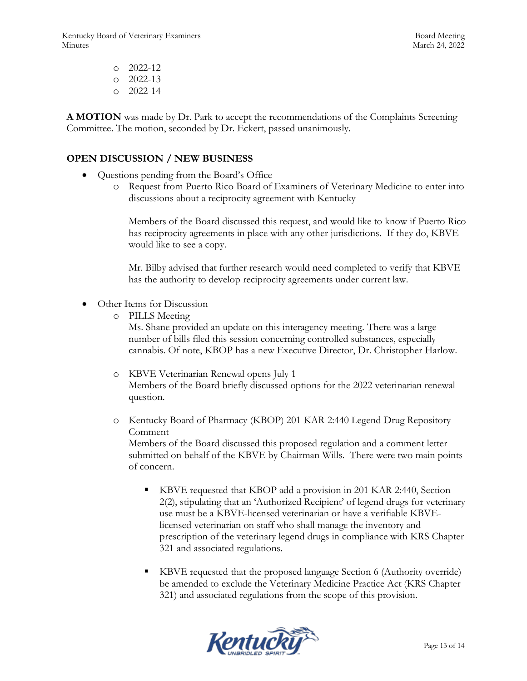Kentucky Board of Veterinary Examiners and the state of the Board Meeting Board Meeting Minutes March 24, 2022

o 2022-12 o 2022-13 o 2022-14

**A MOTION** was made by Dr. Park to accept the recommendations of the Complaints Screening Committee. The motion, seconded by Dr. Eckert, passed unanimously.

## **OPEN DISCUSSION / NEW BUSINESS**

- Questions pending from the Board's Office
	- o Request from Puerto Rico Board of Examiners of Veterinary Medicine to enter into discussions about a reciprocity agreement with Kentucky

Members of the Board discussed this request, and would like to know if Puerto Rico has reciprocity agreements in place with any other jurisdictions. If they do, KBVE would like to see a copy.

Mr. Bilby advised that further research would need completed to verify that KBVE has the authority to develop reciprocity agreements under current law.

- Other Items for Discussion
	- o PILLS Meeting

Ms. Shane provided an update on this interagency meeting. There was a large number of bills filed this session concerning controlled substances, especially cannabis. Of note, KBOP has a new Executive Director, Dr. Christopher Harlow.

- o KBVE Veterinarian Renewal opens July 1 Members of the Board briefly discussed options for the 2022 veterinarian renewal question.
- o Kentucky Board of Pharmacy (KBOP) 201 KAR 2:440 Legend Drug Repository Comment

Members of the Board discussed this proposed regulation and a comment letter submitted on behalf of the KBVE by Chairman Wills. There were two main points of concern.

- KBVE requested that KBOP add a provision in 201 KAR 2:440, Section 2(2), stipulating that an 'Authorized Recipient' of legend drugs for veterinary use must be a KBVE-licensed veterinarian or have a verifiable KBVElicensed veterinarian on staff who shall manage the inventory and prescription of the veterinary legend drugs in compliance with KRS Chapter 321 and associated regulations.
- KBVE requested that the proposed language Section 6 (Authority override) be amended to exclude the Veterinary Medicine Practice Act (KRS Chapter 321) and associated regulations from the scope of this provision.

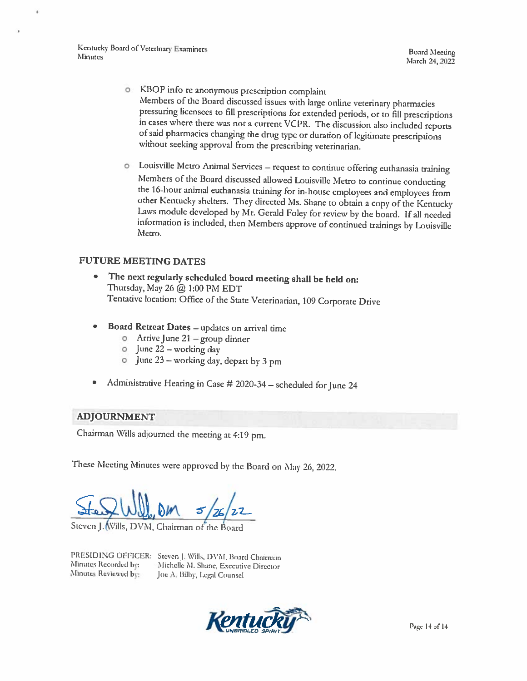Kentucky Board of Veterinary Examiners Minutes

**Board Meeting** March 24, 2022

- o KBOP info re anonymous prescription complaint Members of the Board discussed issues with large online veterinary pharmacies pressuring licensees to fill prescriptions for extended periods, or to fill prescriptions in cases where there was not a current VCPR. The discussion also included reports of said pharmacies changing the drug type or duration of legitimate prescriptions without seeking approval from the prescribing veterinarian.
- o Louisville Metro Animal Services request to continue offering euthanasia training Members of the Board discussed allowed Louisville Metro to continue conducting the 16-hour animal euthanasia training for in-house employees and employees from other Kentucky shelters. They directed Ms. Shane to obtain a copy of the Kentucky Laws module developed by Mr. Gerald Foley for review by the board. If all needed information is included, then Members approve of continued trainings by Louisville Metro.

#### **FUTURE MEETING DATES**

- $\bullet$ The next regularly scheduled board meeting shall be held on: Thursday, May 26 @ 1:00 PM EDT Tentative location: Office of the State Veterinarian, 109 Corporate Drive
- Board Retreat Dates updates on arrival time
	- $\circ$  Arrive June 21 group dinner
	- $\circ$  June 22 working day
	- 0 June 23 working day, depart by 3 pm
- Administrative Hearing in Case # 2020-34 scheduled for June 24

#### **ADJOURNMENT**

Chairman Wills adjourned the meeting at 4:19 pm.

These Meeting Minutes were approved by the Board on May 26, 2022.

Steven J. Wills, DVM, Chairman of the Board

Minutes Recorded by: Minutes Reviewed by:

PRESIDING OFFICER: Steven J. Wills, DVM, Board Chairman Michelle M. Shane, Executive Director Joe A, Bilby, Legal Counsel

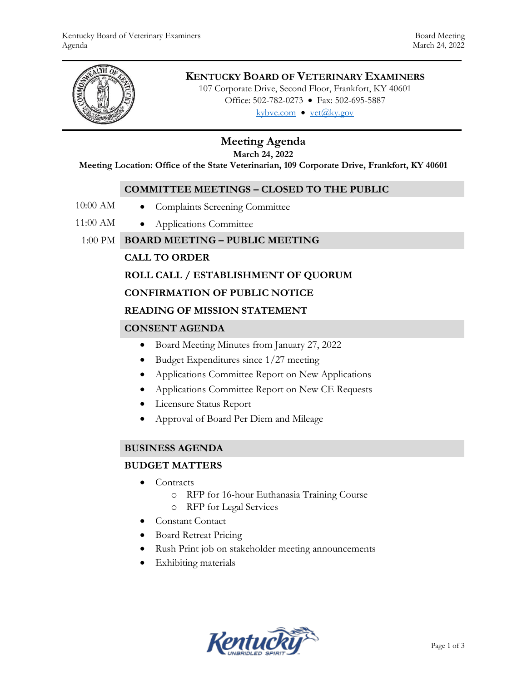

## **KENTUCKY BOARD OF VETERINARY EXAMINERS**

107 Corporate Drive, Second Floor, Frankfort, KY 40601 Office: 502-782-0273 • Fax: 502-695-5887 kybve.com  $\bullet$  yet@ky.gov

# **Meeting Agenda**

**March 24, 2022**

**Meeting Location: Office of the State Veterinarian, 109 Corporate Drive, Frankfort, KY 40601**

#### **COMMITTEE MEETINGS – CLOSED TO THE PUBLIC**

- 10:00 AM Complaints Screening Committee
	-
- 11:00 AM Applications Committee
	- 1:00 PM **BOARD MEETING – PUBLIC MEETING**

## **CALL TO ORDER**

## **ROLL CALL / ESTABLISHMENT OF QUORUM**

#### **CONFIRMATION OF PUBLIC NOTICE**

#### **READING OF MISSION STATEMENT**

## **CONSENT AGENDA**

- Board Meeting Minutes from January 27, 2022
- $\bullet$  Budget Expenditures since 1/27 meeting
- Applications Committee Report on New Applications
- Applications Committee Report on New CE Requests
- Licensure Status Report
- Approval of Board Per Diem and Mileage

#### **BUSINESS AGENDA**

#### **BUDGET MATTERS**

- Contracts
	- o RFP for 16-hour Euthanasia Training Course
	- o RFP for Legal Services
- Constant Contact
- Board Retreat Pricing
- Rush Print job on stakeholder meeting announcements
- Exhibiting materials

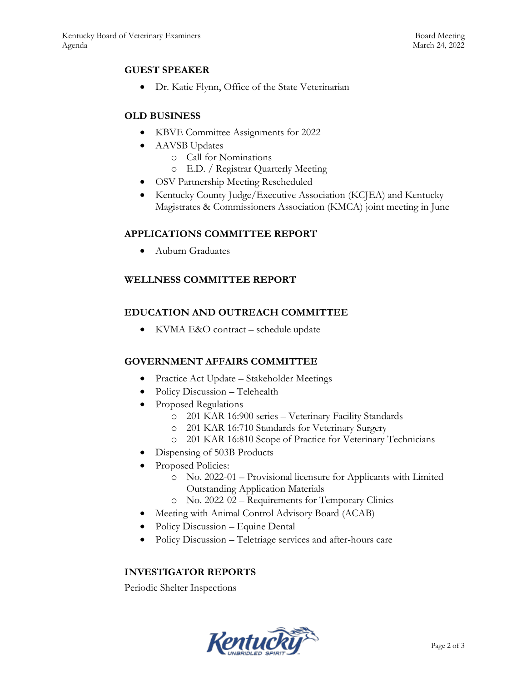## **GUEST SPEAKER**

Dr. Katie Flynn, Office of the State Veterinarian

## **OLD BUSINESS**

- KBVE Committee Assignments for 2022
- AAVSB Updates
	- o Call for Nominations
	- o E.D. / Registrar Quarterly Meeting
- OSV Partnership Meeting Rescheduled
- Kentucky County Judge/Executive Association (KCJEA) and Kentucky Magistrates & Commissioners Association (KMCA) joint meeting in June

## **APPLICATIONS COMMITTEE REPORT**

Auburn Graduates

## **WELLNESS COMMITTEE REPORT**

## **EDUCATION AND OUTREACH COMMITTEE**

• KVMA E&O contract – schedule update

## **GOVERNMENT AFFAIRS COMMITTEE**

- Practice Act Update Stakeholder Meetings
- Policy Discussion Telehealth
- Proposed Regulations
	- o 201 KAR 16:900 series Veterinary Facility Standards
	- o 201 KAR 16:710 Standards for Veterinary Surgery
	- o 201 KAR 16:810 Scope of Practice for Veterinary Technicians
- Dispensing of 503B Products
- Proposed Policies:
	- o No. 2022-01 Provisional licensure for Applicants with Limited Outstanding Application Materials
	- o No. 2022-02 Requirements for Temporary Clinics
- Meeting with Animal Control Advisory Board (ACAB)
- Policy Discussion Equine Dental
- Policy Discussion Teletriage services and after-hours care

## **INVESTIGATOR REPORTS**

Periodic Shelter Inspections